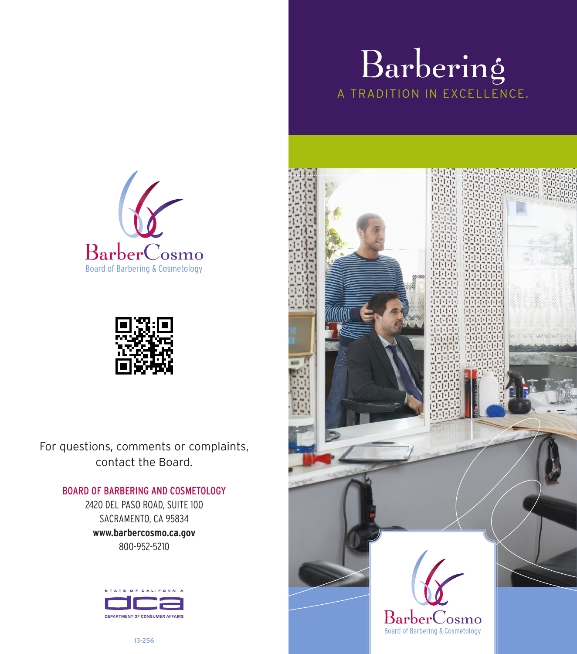





For questions, comments or complaints, contact the Board.

## BOARD OF BARBERING AND COSMETOLOGY

2420 DEL PASO ROAD, SUITE 100 SACRAMENTO, CA 95834 **www.barbercosmo.ca.gov**  800-952-5210